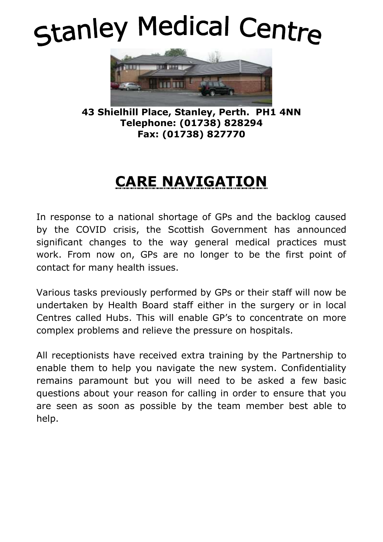# Stanley Medical Centre



**43 Shielhill Place, Stanley, Perth. PH1 4NN Telephone: (01738) 828294 Fax: (01738) 827770**

# **CARE NAVIGATION**

In response to a national shortage of GPs and the backlog caused by the COVID crisis, the Scottish Government has announced significant changes to the way general medical practices must work. From now on, GPs are no longer to be the first point of contact for many health issues.

Various tasks previously performed by GPs or their staff will now be undertaken by Health Board staff either in the surgery or in local Centres called Hubs. This will enable GP's to concentrate on more complex problems and relieve the pressure on hospitals.

All receptionists have received extra training by the Partnership to enable them to help you navigate the new system. Confidentiality remains paramount but you will need to be asked a few basic questions about your reason for calling in order to ensure that you are seen as soon as possible by the team member best able to help.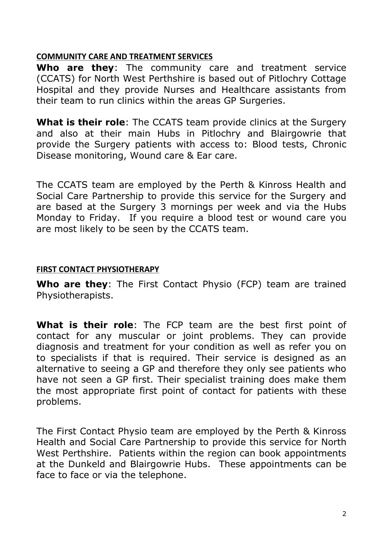#### **COMMUNITY CARE AND TREATMENT SERVICES**

**Who are they**: The community care and treatment service (CCATS) for North West Perthshire is based out of Pitlochry Cottage Hospital and they provide Nurses and Healthcare assistants from their team to run clinics within the areas GP Surgeries.

What is their role: The CCATS team provide clinics at the Surgery and also at their main Hubs in Pitlochry and Blairgowrie that provide the Surgery patients with access to: Blood tests, Chronic Disease monitoring, Wound care & Ear care.

The CCATS team are employed by the Perth & Kinross Health and Social Care Partnership to provide this service for the Surgery and are based at the Surgery 3 mornings per week and via the Hubs Monday to Friday. If you require a blood test or wound care you are most likely to be seen by the CCATS team.

# **FIRST CONTACT PHYSIOTHERAPY**

**Who are they**: The First Contact Physio (FCP) team are trained Physiotherapists.

**What is their role**: The FCP team are the best first point of contact for any muscular or joint problems. They can provide diagnosis and treatment for your condition as well as refer you on to specialists if that is required. Their service is designed as an alternative to seeing a GP and therefore they only see patients who have not seen a GP first. Their specialist training does make them the most appropriate first point of contact for patients with these problems.

The First Contact Physio team are employed by the Perth & Kinross Health and Social Care Partnership to provide this service for North West Perthshire. Patients within the region can book appointments at the Dunkeld and Blairgowrie Hubs. These appointments can be face to face or via the telephone.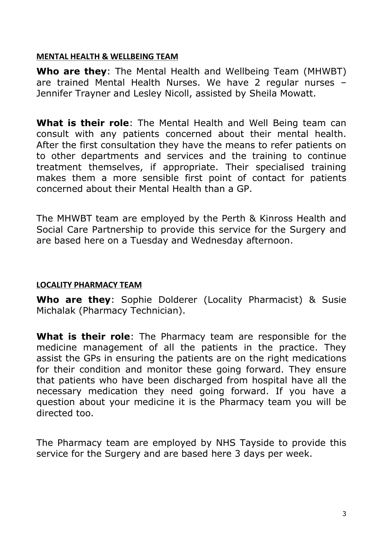#### **MENTAL HEALTH & WELLBEING TEAM**

**Who are they**: The Mental Health and Wellbeing Team (MHWBT) are trained Mental Health Nurses. We have 2 regular nurses – Jennifer Trayner and Lesley Nicoll, assisted by Sheila Mowatt.

**What is their role**: The Mental Health and Well Being team can consult with any patients concerned about their mental health. After the first consultation they have the means to refer patients on to other departments and services and the training to continue treatment themselves, if appropriate. Their specialised training makes them a more sensible first point of contact for patients concerned about their Mental Health than a GP.

The MHWBT team are employed by the Perth & Kinross Health and Social Care Partnership to provide this service for the Surgery and are based here on a Tuesday and Wednesday afternoon.

## **LOCALITY PHARMACY TEAM**

**Who are they**: Sophie Dolderer (Locality Pharmacist) & Susie Michalak (Pharmacy Technician).

**What is their role**: The Pharmacy team are responsible for the medicine management of all the patients in the practice. They assist the GPs in ensuring the patients are on the right medications for their condition and monitor these going forward. They ensure that patients who have been discharged from hospital have all the necessary medication they need going forward. If you have a question about your medicine it is the Pharmacy team you will be directed too.

The Pharmacy team are employed by NHS Tayside to provide this service for the Surgery and are based here 3 days per week.